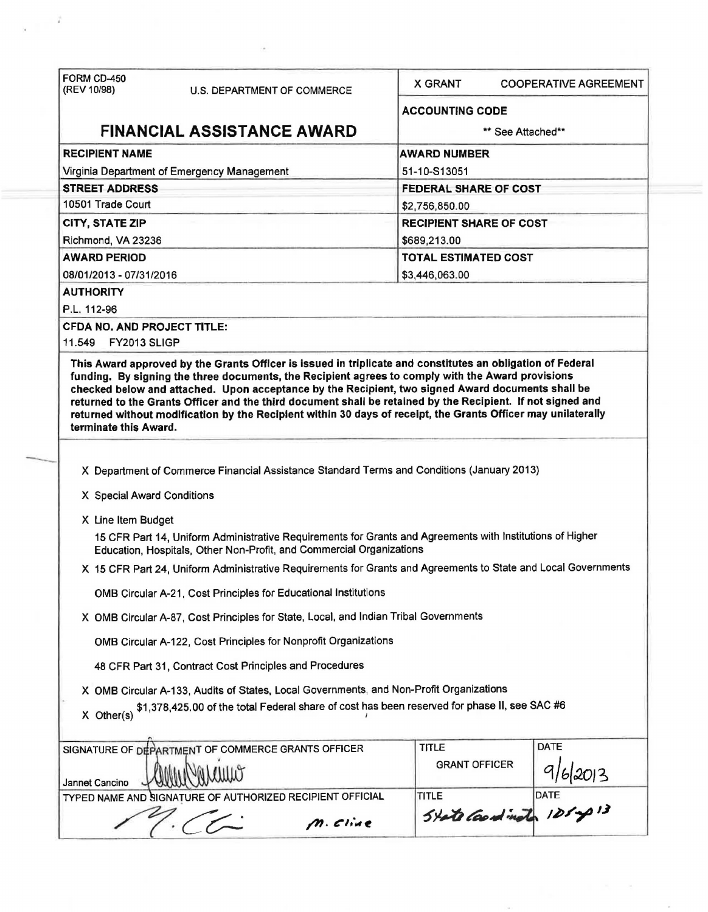| (REV 10/98)                                                                                                                          | U.S. DEPARTMENT OF COMMERCE                                                                                                                                                       | <b>X GRANT</b>                 | <b>COOPERATIVE AGREEMENT</b>         |  |
|--------------------------------------------------------------------------------------------------------------------------------------|-----------------------------------------------------------------------------------------------------------------------------------------------------------------------------------|--------------------------------|--------------------------------------|--|
|                                                                                                                                      |                                                                                                                                                                                   | <b>ACCOUNTING CODE</b>         |                                      |  |
|                                                                                                                                      | <b>FINANCIAL ASSISTANCE AWARD</b>                                                                                                                                                 | ** See Attached**              |                                      |  |
| <b>RECIPIENT NAME</b>                                                                                                                |                                                                                                                                                                                   | <b>AWARD NUMBER</b>            |                                      |  |
|                                                                                                                                      | Virginia Department of Emergency Management                                                                                                                                       | 51-10-S13051                   |                                      |  |
| <b>STREET ADDRESS</b>                                                                                                                |                                                                                                                                                                                   | <b>FEDERAL SHARE OF COST</b>   |                                      |  |
| 10501 Trade Court                                                                                                                    |                                                                                                                                                                                   | \$2,756,850.00                 |                                      |  |
| <b>CITY, STATE ZIP</b>                                                                                                               |                                                                                                                                                                                   | <b>RECIPIENT SHARE OF COST</b> |                                      |  |
| Richmond, VA 23236                                                                                                                   |                                                                                                                                                                                   | \$689,213.00                   |                                      |  |
| <b>AWARD PERIOD</b>                                                                                                                  |                                                                                                                                                                                   | <b>TOTAL ESTIMATED COST</b>    |                                      |  |
| 08/01/2013 - 07/31/2016                                                                                                              |                                                                                                                                                                                   | \$3,446,063.00                 |                                      |  |
| <b>AUTHORITY</b>                                                                                                                     |                                                                                                                                                                                   |                                |                                      |  |
| P.L. 112-96                                                                                                                          |                                                                                                                                                                                   |                                |                                      |  |
| <b>CFDA NO. AND PROJECT TITLE:</b>                                                                                                   |                                                                                                                                                                                   |                                |                                      |  |
| 11.549 FY2013 SLIGP                                                                                                                  |                                                                                                                                                                                   |                                |                                      |  |
| returned to the Grants Officer and the third document shall be retained by the Recipient. If not signed and<br>terminate this Award. | returned without modification by the Recipient within 30 days of receipt, the Grants Officer may unilaterally                                                                     |                                |                                      |  |
|                                                                                                                                      | X Department of Commerce Financial Assistance Standard Terms and Conditions (January 2013)                                                                                        |                                |                                      |  |
| X Special Award Conditions                                                                                                           |                                                                                                                                                                                   |                                |                                      |  |
| X Line Item Budget                                                                                                                   |                                                                                                                                                                                   |                                |                                      |  |
|                                                                                                                                      | 15 CFR Part 14, Uniform Administrative Requirements for Grants and Agreements with Institutions of Higher<br>Education, Hospitals, Other Non-Profit, and Commercial Organizations |                                |                                      |  |
|                                                                                                                                      | X 15 CFR Part 24, Uniform Administrative Requirements for Grants and Agreements to State and Local Governments                                                                    |                                |                                      |  |
|                                                                                                                                      | OMB Circular A-21, Cost Principles for Educational Institutions                                                                                                                   |                                |                                      |  |
|                                                                                                                                      | X OMB Circular A-87, Cost Principles for State, Local, and Indian Tribal Governments                                                                                              |                                |                                      |  |
|                                                                                                                                      | OMB Circular A-122, Cost Principles for Nonprofit Organizations                                                                                                                   |                                |                                      |  |
|                                                                                                                                      | 48 CFR Part 31, Contract Cost Principles and Procedures                                                                                                                           |                                |                                      |  |
|                                                                                                                                      | X OMB Circular A-133, Audits of States, Local Governments, and Non-Profit Organizations                                                                                           |                                |                                      |  |
| $X$ Other(s)                                                                                                                         | \$1,378,425.00 of the total Federal share of cost has been reserved for phase II, see SAC #6                                                                                      |                                |                                      |  |
|                                                                                                                                      | SIGNATURE OF DEPARTMENT OF COMMERCE GRANTS OFFICER                                                                                                                                | <b>TITLE</b>                   | <b>DATE</b>                          |  |
|                                                                                                                                      |                                                                                                                                                                                   | <b>GRANT OFFICER</b>           |                                      |  |
| Jannet Cancino                                                                                                                       |                                                                                                                                                                                   |                                |                                      |  |
|                                                                                                                                      | TYPED NAME AND SIGNATURE OF AUTHORIZED RECIPIENT OFFICIAL                                                                                                                         |                                | TITLE<br>State Coard in the 125mg 13 |  |

 $\mathcal{F}^{\mathcal{A}}$ 

 $\chi \equiv \frac{1}{2}$